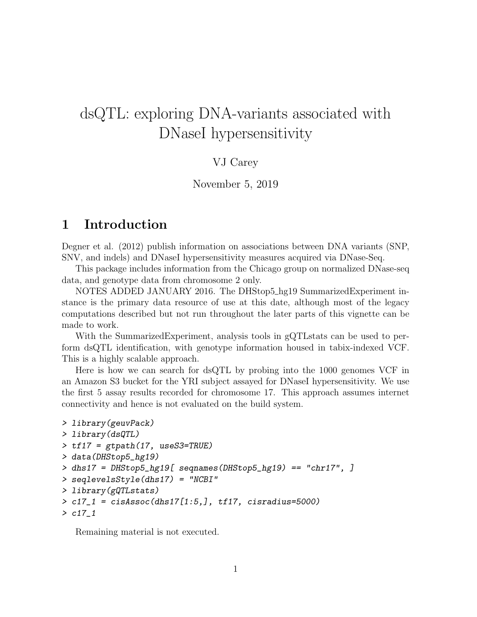# dsQTL: exploring DNA-variants associated with DNaseI hypersensitivity

#### VJ Carey

#### November 5, 2019

# 1 Introduction

Degner et al. (2012) publish information on associations between DNA variants (SNP, SNV, and indels) and DNaseI hypersensitivity measures acquired via DNase-Seq.

This package includes information from the Chicago group on normalized DNase-seq data, and genotype data from chromosome 2 only.

NOTES ADDED JANUARY 2016. The DHStop5\_hg19 SummarizedExperiment instance is the primary data resource of use at this date, although most of the legacy computations described but not run throughout the later parts of this vignette can be made to work.

With the SummarizedExperiment, analysis tools in gQTLstats can be used to perform dsQTL identification, with genotype information housed in tabix-indexed VCF. This is a highly scalable approach.

Here is how we can search for dsQTL by probing into the 1000 genomes VCF in an Amazon S3 bucket for the YRI subject assayed for DNaseI hypersensitivity. We use the first 5 assay results recorded for chromosome 17. This approach assumes internet connectivity and hence is not evaluated on the build system.

```
> library(geuvPack)
> library(dsQTL)
> tf17 = gtpath(17, useS3=TRUE)
> data(DHStop5_hg19)
> dhs17 = DHStop5_hg19[ seqnames(DHStop5_hg19) == "chr17", ]
> seqlevelsStyle(dhs17) = "NCBI"
> library(gQTLstats)
> c17_1 = cisAssoc(dhs17[1:5,], tf17, cisradius=5000)
> c17_1
```
Remaining material is not executed.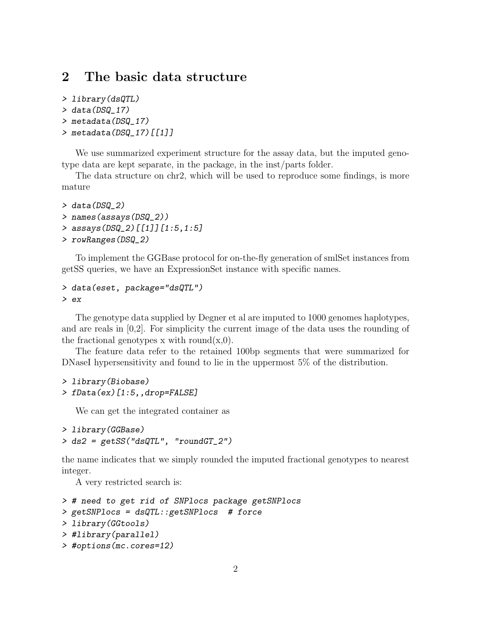## 2 The basic data structure

```
> library(dsQTL)
```

```
> data(DSQ_17)
```

```
> metadata(DSQ_17)
```

```
> metadata(DSQ_17)[[1]]
```
We use summarized experiment structure for the assay data, but the imputed genotype data are kept separate, in the package, in the inst/parts folder.

The data structure on chr2, which will be used to reproduce some findings, is more mature

```
> data(DSQ_2)
> names(assays(DSQ_2))
> assays(DSQ_2)[[1]][1:5,1:5]
> rowRanges(DSQ_2)
```
To implement the GGBase protocol for on-the-fly generation of smlSet instances from getSS queries, we have an ExpressionSet instance with specific names.

```
> data(eset, package="dsQTL")
> ex
```
The genotype data supplied by Degner et al are imputed to 1000 genomes haplotypes, and are reals in  $[0,2]$ . For simplicity the current image of the data uses the rounding of the fractional genotypes x with round $(x,0)$ .

The feature data refer to the retained 100bp segments that were summarized for DNaseI hypersensitivity and found to lie in the uppermost 5% of the distribution.

```
> library(Biobase)
> fData(ex)[1:5,,drop=FALSE]
```
We can get the integrated container as

```
> library(GGBase)
> ds2 = getSS("dsQTL", "roundGT_2")
```
the name indicates that we simply rounded the imputed fractional genotypes to nearest integer.

A very restricted search is:

```
> # need to get rid of SNPlocs package getSNPlocs
> getSNPlocs = dsQTL::getSNPlocs # force
> library(GGtools)
> #library(parallel)
> #options(mc.cores=12)
```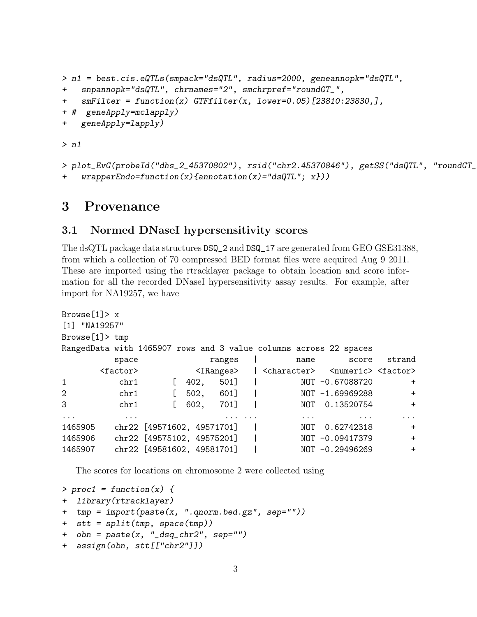```
> n1 = best.cis.eQTLs(smpack="dsQTL", radius=2000, geneannopk="dsQTL",
+ snpannopk="dsQTL", chrnames="2", smchrpref="roundGT_",
+ smFilter = function(x) GTFfilter(x, lower=0.05)[23810:23830,],
+ # geneApply=mclapply)
+ geneApply=lapply)
> n1
```

```
> plot_EvG(probeId("dhs_2_45370802"), rsid("chr2.45370846"), getSS("dsQTL", "roundGT_
    wrapperEndo=function(x){annotation(x)="dsQTL"; x}))
```
### 3 Provenance

#### 3.1 Normed DNaseI hypersensitivity scores

The dsQTL package data structures DSQ\_2 and DSQ\_17 are generated from GEO GSE31388, from which a collection of 70 compressed BED format files were acquired Aug 9 2011. These are imported using the rtracklayer package to obtain location and score information for all the recorded DNaseI hypersensitivity assay results. For example, after import for NA19257, we have

```
Browse[1]> x
[1] "NA19257"
Browse[1]> tmp
RangedData with 1465907 rows and 3 value columns across 22 spaces
       space ranges | name score strand
     <factor> <IRanges> | <character> <numeric> <factor>
1 chr1 [ 402, 501] | NOT -0.67088720 +
2 chr1 [ 502, 601] | NOT -1.69969288 +
3 chr1 [ 602, 701] | NOT 0.13520754 +
... ... ... ... ... ... ...
1465905 chr22 [49571602, 49571701] | NOT 0.62742318 +
1465906 chr22 [49575102, 49575201] | NOT -0.09417379 +
1465907 chr22 [49581602, 49581701] | NOT -0.29496269 +
```
The scores for locations on chromosome 2 were collected using

```
> proc1 = function(x) {
+ library(rtracklayer)
+ tmp = import(paste(x, ".qnorm.bed.gz", sep=""))
+ stt = split(tmp, space(tmp))
+ obn = paste(x, "_dsq_chr2", sep="")
+ assign(obn, stt[["chr2"]])
```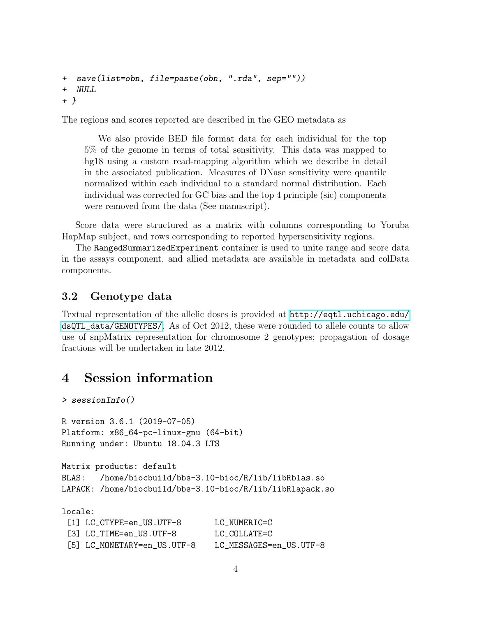```
+ save(list=obn, file=paste(obn, ".rda", sep=""))
+ NULL
+ }
```
The regions and scores reported are described in the GEO metadata as

We also provide BED file format data for each individual for the top 5% of the genome in terms of total sensitivity. This data was mapped to hg18 using a custom read-mapping algorithm which we describe in detail in the associated publication. Measures of DNase sensitivity were quantile normalized within each individual to a standard normal distribution. Each individual was corrected for GC bias and the top 4 principle (sic) components were removed from the data (See manuscript).

Score data were structured as a matrix with columns corresponding to Yoruba HapMap subject, and rows corresponding to reported hypersensitivity regions.

The RangedSummarizedExperiment container is used to unite range and score data in the assays component, and allied metadata are available in metadata and colData components.

#### 3.2 Genotype data

Textual representation of the allelic doses is provided at [http://eqtl.uchicago.edu/](http://eqtl.uchicago.edu/dsQTL_data/GENOTYPES/) [dsQTL\\_data/GENOTYPES/](http://eqtl.uchicago.edu/dsQTL_data/GENOTYPES/). As of Oct 2012, these were rounded to allele counts to allow use of snpMatrix representation for chromosome 2 genotypes; propagation of dosage fractions will be undertaken in late 2012.

## 4 Session information

```
> sessionInfo()
R version 3.6.1 (2019-07-05)
Platform: x86_64-pc-linux-gnu (64-bit)
Running under: Ubuntu 18.04.3 LTS
Matrix products: default
BLAS: /home/biocbuild/bbs-3.10-bioc/R/lib/libRblas.so
LAPACK: /home/biocbuild/bbs-3.10-bioc/R/lib/libRlapack.so
locale:
 [1] LC_CTYPE=en_US.UTF-8 LC_NUMERIC=C
 [3] LC_TIME=en_US.UTF-8 LC_COLLATE=C
 [5] LC_MONETARY=en_US.UTF-8 LC_MESSAGES=en_US.UTF-8
```